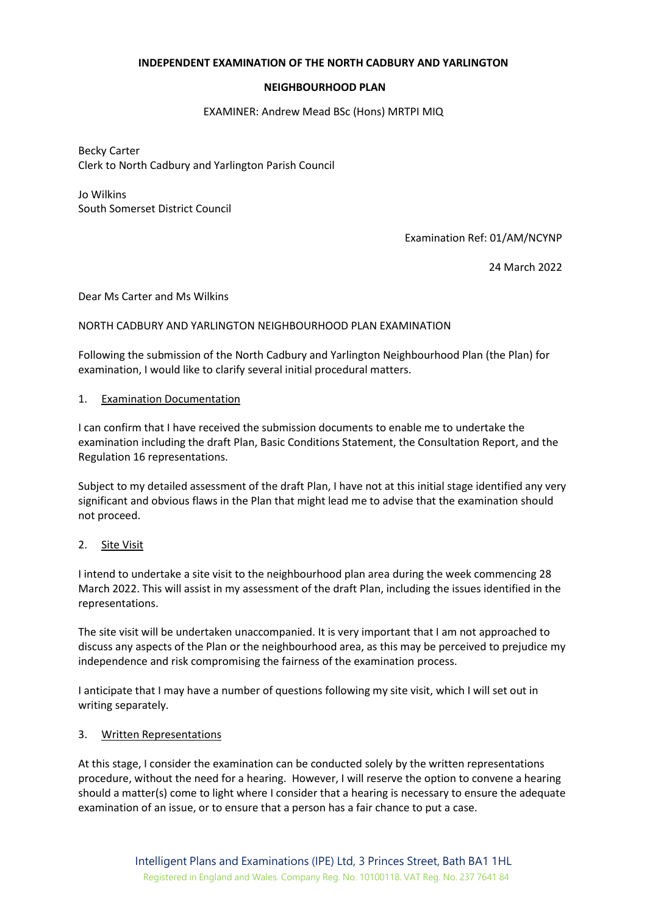## **INDEPENDENT EXAMINATION OF THE NORTH CADBURY AND YARLINGTON**

## **NEIGHBOURHOOD PLAN**

#### EXAMINER: Andrew Mead BSc (Hons) MRTPI MIQ

Becky Carter Clerk to North Cadbury and Yarlington Parish Council

Jo Wilkins South Somerset District Council

Examination Ref: 01/AM/NCYNP

24 March 2022

Dear Ms Carter and Ms Wilkins

### NORTH CADBURY AND YARLINGTON NEIGHBOURHOOD PLAN EXAMINATION

Following the submission of the North Cadbury and Yarlington Neighbourhood Plan (the Plan) for examination, I would like to clarify several initial procedural matters.

### 1. Examination Documentation

I can confirm that I have received the submission documents to enable me to undertake the examination including the draft Plan, Basic Conditions Statement, the Consultation Report, and the Regulation 16 representations.

Subject to my detailed assessment of the draft Plan, I have not at this initial stage identified any very significant and obvious flaws in the Plan that might lead me to advise that the examination should not proceed.

## 2. Site Visit

I intend to undertake a site visit to the neighbourhood plan area during the week commencing 28 March 2022. This will assist in my assessment of the draft Plan, including the issues identified in the representations.

The site visit will be undertaken unaccompanied. It is very important that I am not approached to discuss any aspects of the Plan or the neighbourhood area, as this may be perceived to prejudice my independence and risk compromising the fairness of the examination process.

I anticipate that I may have a number of questions following my site visit, which I will set out in writing separately.

#### 3. Written Representations

At this stage, I consider the examination can be conducted solely by the written representations procedure, without the need for a hearing. However, I will reserve the option to convene a hearing should a matter(s) come to light where I consider that a hearing is necessary to ensure the adequate examination of an issue, or to ensure that a person has a fair chance to put a case.